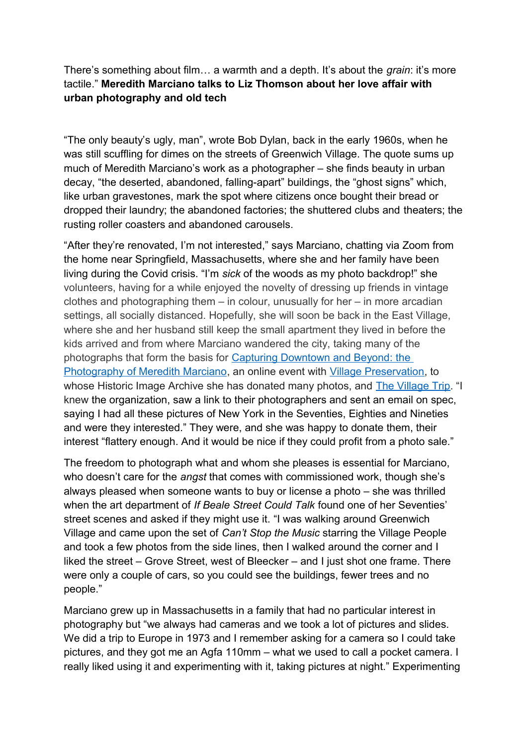There's something about film… a warmth and a depth. It's about the *grain*: it's more tactile." **Meredith Marciano talks to Liz Thomson about her love affair with urban photography and old tech**

"The only beauty's ugly, man", wrote Bob Dylan, back in the early 1960s, when he was still scuffling for dimes on the streets of Greenwich Village. The quote sums up much of Meredith Marciano's work as a photographer – she finds beauty in urban decay, "the deserted, abandoned, falling-apart" buildings, the "ghost signs" which, like urban gravestones, mark the spot where citizens once bought their bread or dropped their laundry; the abandoned factories; the shuttered clubs and theaters; the rusting roller coasters and abandoned carousels.

"After they're renovated, I'm not interested," says Marciano, chatting via Zoom from the home near Springfield, Massachusetts, where she and her family have been living during the Covid crisis. "I'm *sick* of the woods as my photo backdrop!" she volunteers, having for a while enjoyed the novelty of dressing up friends in vintage clothes and photographing them – in colour, unusually for her – in more arcadian settings, all socially distanced. Hopefully, she will soon be back in the East Village, where she and her husband still keep the small apartment they lived in before the kids arrived and from where Marciano wandered the city, taking many of the photographs that form the basis for [Capturing Downtown and Beyond: the](https://greenwichvillage.nyc/events/capturing-downtown-and-beyond-photography-meredith-marciano/)  [Photography of Meredith Marciano,](https://greenwichvillage.nyc/events/capturing-downtown-and-beyond-photography-meredith-marciano/) an online event with [Village Preservation,](https://www.villagepreservation.org/) to whose Historic Image Archive she has donated many photos, and [The Village Trip.](http://www.thevillagetrip.com/) "I knew the organization, saw a link to their photographers and sent an email on spec, saying I had all these pictures of New York in the Seventies, Eighties and Nineties and were they interested." They were, and she was happy to donate them, their interest "flattery enough. And it would be nice if they could profit from a photo sale."

The freedom to photograph what and whom she pleases is essential for Marciano, who doesn't care for the *angst* that comes with commissioned work, though she's always pleased when someone wants to buy or license a photo – she was thrilled when the art department of *If Beale Street Could Talk* found one of her Seventies' street scenes and asked if they might use it. "I was walking around Greenwich Village and came upon the set of *Can't Stop the Music* starring the Village People and took a few photos from the side lines, then I walked around the corner and I liked the street – Grove Street, west of Bleecker – and I just shot one frame. There were only a couple of cars, so you could see the buildings, fewer trees and no people."

Marciano grew up in Massachusetts in a family that had no particular interest in photography but "we always had cameras and we took a lot of pictures and slides. We did a trip to Europe in 1973 and I remember asking for a camera so I could take pictures, and they got me an Agfa 110mm – what we used to call a pocket camera. I really liked using it and experimenting with it, taking pictures at night." Experimenting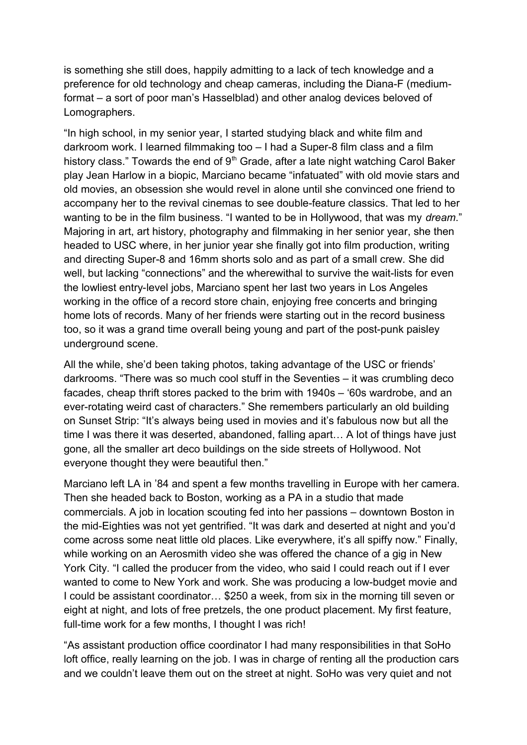is something she still does, happily admitting to a lack of tech knowledge and a preference for old technology and cheap cameras, including the Diana-F (mediumformat – a sort of poor man's Hasselblad) and other analog devices beloved of Lomographers.

"In high school, in my senior year, I started studying black and white film and darkroom work. I learned filmmaking too – I had a Super-8 film class and a film history class." Towards the end of  $9<sup>th</sup>$  Grade, after a late night watching Carol Baker play Jean Harlow in a biopic, Marciano became "infatuated" with old movie stars and old movies, an obsession she would revel in alone until she convinced one friend to accompany her to the revival cinemas to see double-feature classics. That led to her wanting to be in the film business. "I wanted to be in Hollywood, that was my *dream*." Majoring in art, art history, photography and filmmaking in her senior year, she then headed to USC where, in her junior year she finally got into film production, writing and directing Super-8 and 16mm shorts solo and as part of a small crew. She did well, but lacking "connections" and the wherewithal to survive the wait-lists for even the lowliest entry-level jobs, Marciano spent her last two years in Los Angeles working in the office of a record store chain, enjoying free concerts and bringing home lots of records. Many of her friends were starting out in the record business too, so it was a grand time overall being young and part of the post-punk paisley underground scene.

All the while, she'd been taking photos, taking advantage of the USC or friends' darkrooms. "There was so much cool stuff in the Seventies – it was crumbling deco facades, cheap thrift stores packed to the brim with 1940s – '60s wardrobe, and an ever-rotating weird cast of characters." She remembers particularly an old building on Sunset Strip: "It's always being used in movies and it's fabulous now but all the time I was there it was deserted, abandoned, falling apart… A lot of things have just gone, all the smaller art deco buildings on the side streets of Hollywood. Not everyone thought they were beautiful then."

Marciano left LA in '84 and spent a few months travelling in Europe with her camera. Then she headed back to Boston, working as a PA in a studio that made commercials. A job in location scouting fed into her passions – downtown Boston in the mid-Eighties was not yet gentrified. "It was dark and deserted at night and you'd come across some neat little old places. Like everywhere, it's all spiffy now." Finally, while working on an Aerosmith video she was offered the chance of a gig in New York City. "I called the producer from the video, who said I could reach out if I ever wanted to come to New York and work. She was producing a low-budget movie and I could be assistant coordinator… \$250 a week, from six in the morning till seven or eight at night, and lots of free pretzels, the one product placement. My first feature, full-time work for a few months, I thought I was rich!

"As assistant production office coordinator I had many responsibilities in that SoHo loft office, really learning on the job. I was in charge of renting all the production cars and we couldn't leave them out on the street at night. SoHo was very quiet and not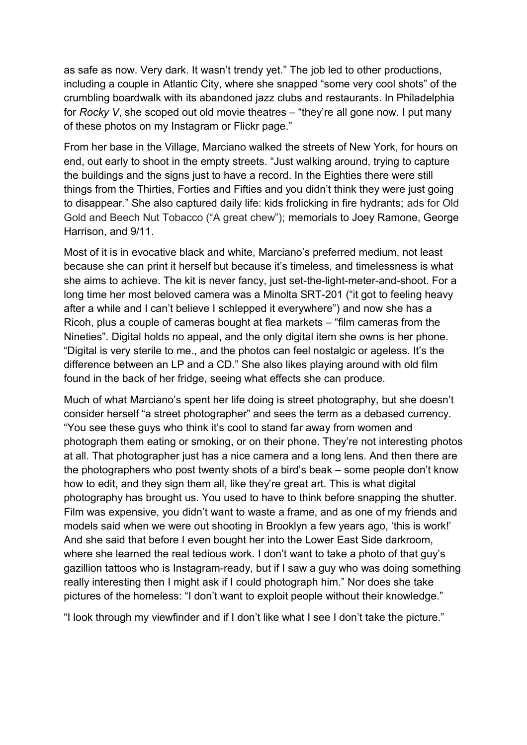as safe as now. Very dark. It wasn't trendy yet." The job led to other productions, including a couple in Atlantic City, where she snapped "some very cool shots" of the crumbling boardwalk with its abandoned jazz clubs and restaurants. In Philadelphia for *Rocky V*, she scoped out old movie theatres – "they're all gone now. I put many of these photos on my Instagram or Flickr page."

From her base in the Village, Marciano walked the streets of New York, for hours on end, out early to shoot in the empty streets. "Just walking around, trying to capture the buildings and the signs just to have a record. In the Eighties there were still things from the Thirties, Forties and Fifties and you didn't think they were just going to disappear." She also captured daily life: kids frolicking in fire hydrants; ads for Old Gold and Beech Nut Tobacco ("A great chew"); memorials to Joey Ramone, George Harrison, and 9/11.

Most of it is in evocative black and white, Marciano's preferred medium, not least because she can print it herself but because it's timeless, and timelessness is what she aims to achieve. The kit is never fancy, just set-the-light-meter-and-shoot. For a long time her most beloved camera was a Minolta SRT-201 ("it got to feeling heavy after a while and I can't believe I schlepped it everywhere") and now she has a Ricoh, plus a couple of cameras bought at flea markets – "film cameras from the Nineties". Digital holds no appeal, and the only digital item she owns is her phone. "Digital is very sterile to me., and the photos can feel nostalgic or ageless. It's the difference between an LP and a CD." She also likes playing around with old film found in the back of her fridge, seeing what effects she can produce.

Much of what Marciano's spent her life doing is street photography, but she doesn't consider herself "a street photographer" and sees the term as a debased currency. "You see these guys who think it's cool to stand far away from women and photograph them eating or smoking, or on their phone. They're not interesting photos at all. That photographer just has a nice camera and a long lens. And then there are the photographers who post twenty shots of a bird's beak – some people don't know how to edit, and they sign them all, like they're great art. This is what digital photography has brought us. You used to have to think before snapping the shutter. Film was expensive, you didn't want to waste a frame, and as one of my friends and models said when we were out shooting in Brooklyn a few years ago, 'this is work!' And she said that before I even bought her into the Lower East Side darkroom, where she learned the real tedious work. I don't want to take a photo of that guy's gazillion tattoos who is Instagram-ready, but if I saw a guy who was doing something really interesting then I might ask if I could photograph him." Nor does she take pictures of the homeless: "I don't want to exploit people without their knowledge."

"I look through my viewfinder and if I don't like what I see I don't take the picture."